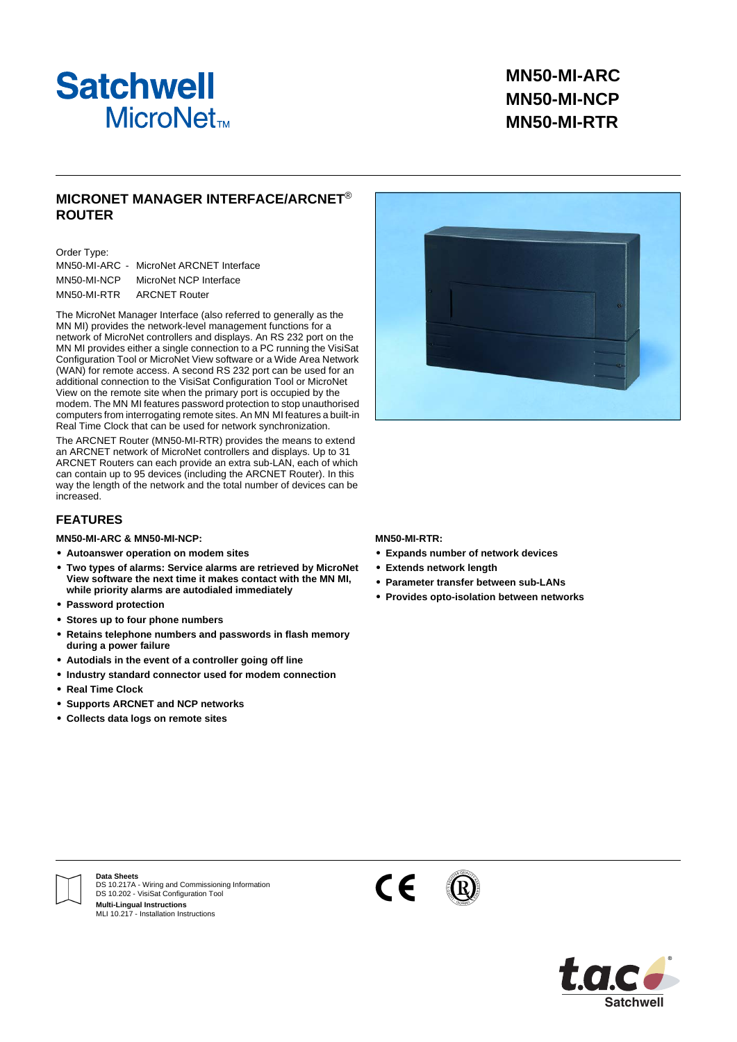

## **MN50-MI-ARC MN50-MI-NCP MN50-MI-RTR**

## **MICRONET MANAGER INTERFACE/ARCNET**® **ROUTER**

#### Order Type:

|             | MN50-MI-ARC - MicroNet ARCNET Interface |
|-------------|-----------------------------------------|
| MN50-MI-NCP | MicroNet NCP Interface                  |
| MN50-MI-RTR | <b>ARCNET Router</b>                    |

The MicroNet Manager Interface (also referred to generally as the MN MI) provides the network-level management functions for a network of MicroNet controllers and displays. An RS 232 port on the MN MI provides either a single connection to a PC running the VisiSat Configuration Tool or MicroNet View software or a Wide Area Network (WAN) for remote access. A second RS 232 port can be used for an additional connection to the VisiSat Configuration Tool or MicroNet View on the remote site when the primary port is occupied by the modem. The MN MI features password protection to stop unauthorised computers from interrogating remote sites. An MN MI features a built-in Real Time Clock that can be used for network synchronization.

The ARCNET Router (MN50-MI-RTR) provides the means to extend an ARCNET network of MicroNet controllers and displays. Up to 31 ARCNET Routers can each provide an extra sub-LAN, each of which can contain up to 95 devices (including the ARCNET Router). In this way the length of the network and the total number of devices can be increased.

### **FEATURES**

#### **MN50-MI-ARC & MN50-MI-NCP:**

- **• Autoanswer operation on modem sites**
- **• Two types of alarms: Service alarms are retrieved by MicroNet View software the next time it makes contact with the MN MI, while priority alarms are autodialed immediately**
- **• Password protection**
- **• Stores up to four phone numbers**
- **• Retains telephone numbers and passwords in flash memory during a power failure**
- **• Autodials in the event of a controller going off line**
- **• Industry standard connector used for modem connection**
- **• Real Time Clock**
- **• Supports ARCNET and NCP networks**
- **• Collects data logs on remote sites**

#### **MN50-MI-RTR:**

- **• Expands number of network devices**
- **• Extends network length**
- **• Parameter transfer between sub-LANs**
- **• Provides opto-isolation between networks**



**Data Sheets** DS 10.217A - Wiring and Commissioning Information DS 10.202 - VisiSat Configuration Tool **Multi-Lingual Instructions** MLI 10.217 - Installation Instructions





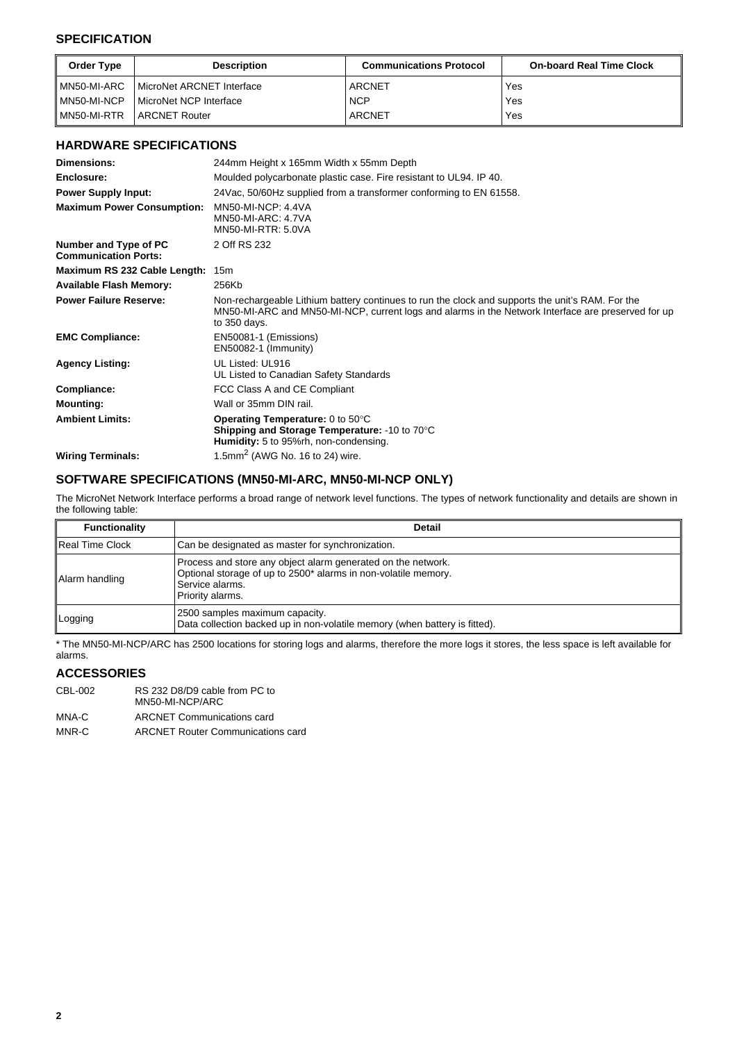## **SPECIFICATION**

| Order Type  | <b>Description</b>              | <b>Communications Protocol</b> | <b>On-board Real Time Clock</b> |
|-------------|---------------------------------|--------------------------------|---------------------------------|
| MN50-MI-ARC | MicroNet ARCNET Interface       | <b>ARCNET</b>                  | Yes                             |
| MN50-MI-NCP | <b>I MicroNet NCP Interface</b> | <b>NCP</b>                     | Yes                             |
| MN50-MI-RTR | <b>ARCNET Router</b>            | ARCNET                         | Yes                             |

## **HARDWARE SPECIFICATIONS**

| Dimensions:                                          | 244mm Height x 165mm Width x 55mm Depth                                                                                                                                                                                |  |
|------------------------------------------------------|------------------------------------------------------------------------------------------------------------------------------------------------------------------------------------------------------------------------|--|
| Enclosure:                                           | Moulded polycarbonate plastic case. Fire resistant to UL94. IP 40.                                                                                                                                                     |  |
| <b>Power Supply Input:</b>                           | 24 Vac, 50/60 Hz supplied from a transformer conforming to EN 61558.                                                                                                                                                   |  |
| <b>Maximum Power Consumption:</b>                    | <b>MN50-MI-NCP: 4.4VA</b><br><b>MN50-MI-ARC: 4.7VA</b><br><b>MN50-MI-RTR: 5.0VA</b>                                                                                                                                    |  |
| Number and Type of PC<br><b>Communication Ports:</b> | 2 Off RS 232                                                                                                                                                                                                           |  |
| Maximum RS 232 Cable Length: 15m                     |                                                                                                                                                                                                                        |  |
| <b>Available Flash Memory:</b>                       | 256Kb                                                                                                                                                                                                                  |  |
| <b>Power Failure Reserve:</b>                        | Non-rechargeable Lithium battery continues to run the clock and supports the unit's RAM. For the<br>MN50-MI-ARC and MN50-MI-NCP, current logs and alarms in the Network Interface are preserved for up<br>to 350 days. |  |
| <b>EMC Compliance:</b>                               | EN50081-1 (Emissions)<br>EN50082-1 (Immunity)                                                                                                                                                                          |  |
| <b>Agency Listing:</b>                               | UL Listed: UL916<br>UL Listed to Canadian Safety Standards                                                                                                                                                             |  |
| Compliance:                                          | FCC Class A and CE Compliant                                                                                                                                                                                           |  |
| <b>Mounting:</b>                                     | Wall or 35mm DIN rail.                                                                                                                                                                                                 |  |
| <b>Ambient Limits:</b>                               | <b>Operating Temperature:</b> 0 to $50^{\circ}$ C<br>Shipping and Storage Temperature: -10 to 70°C<br>Humidity: 5 to 95%rh, non-condensing.                                                                            |  |
| <b>Wiring Terminals:</b>                             | 1.5mm <sup>2</sup> (AWG No. 16 to 24) wire.                                                                                                                                                                            |  |

## **SOFTWARE SPECIFICATIONS (MN50-MI-ARC, MN50-MI-NCP ONLY)**

The MicroNet Network Interface performs a broad range of network level functions. The types of network functionality and details are shown in the following table:

| <b>Functionality</b>   | <b>Detail</b>                                                                                                                                                         |
|------------------------|-----------------------------------------------------------------------------------------------------------------------------------------------------------------------|
| <b>Real Time Clock</b> | Can be designated as master for synchronization.                                                                                                                      |
| Alarm handling         | Process and store any object alarm generated on the network.<br>Optional storage of up to 2500* alarms in non-volatile memory.<br>Service alarms.<br>Priority alarms. |
| Logging                | 2500 samples maximum capacity.<br>Data collection backed up in non-volatile memory (when battery is fitted).                                                          |

\* The MN50-MI-NCP/ARC has 2500 locations for storing logs and alarms, therefore the more logs it stores, the less space is left available for alarms.

## **ACCESSORIES**

| CBL-002 | RS 232 D8/D9 cable from PC to<br>MN50-MI-NCP/ARC |
|---------|--------------------------------------------------|
| MNA-C   | <b>ARCNET Communications card</b>                |

MNR-C ARCNET Router Communications card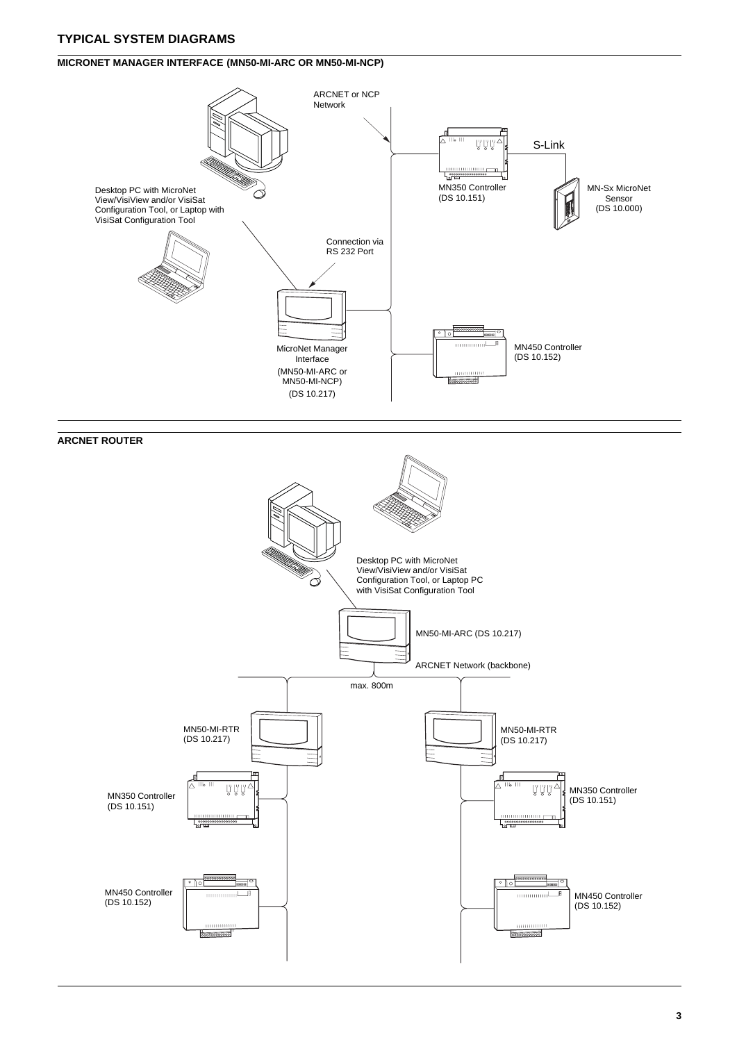## **TYPICAL SYSTEM DIAGRAMS**

## **MICRONET MANAGER INTERFACE (MN50-MI-ARC OR MN50-MI-NCP)**



## **ARCNET ROUTER**



**3**